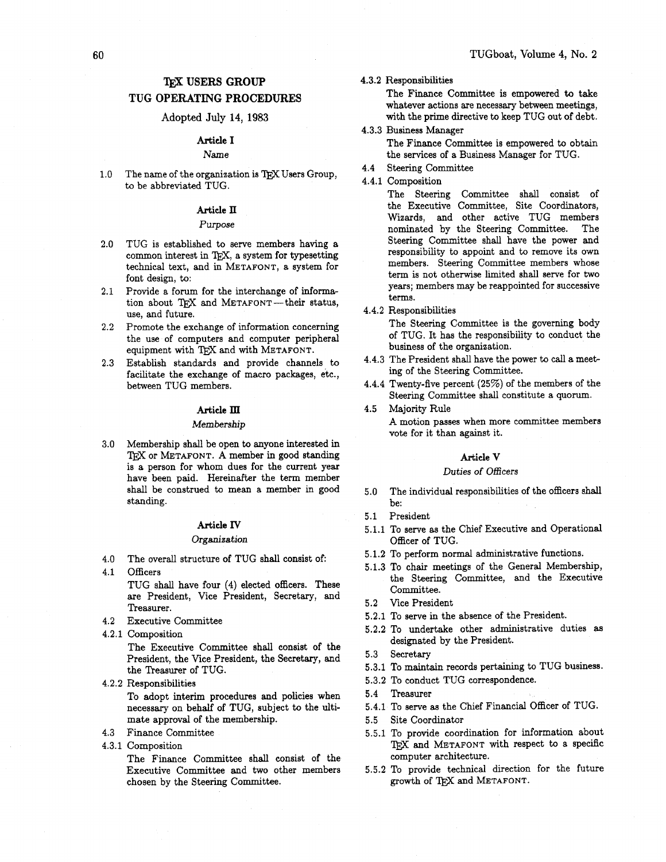# **TFX USERS GROUP**

# **TUG OPERATING PROCEDURES**

### Adopted **July** 14, 1983

## **Article I**

## Name

 $1.0<sub>1</sub>$ The name of the organization is TEX Users Group, to be abbreviated TUG.

## **Article 11**

#### Purpose

- $2.0$ TUG is established to serve members having a common interest in *TEX,* a system for typesetting technical text, and in METAFONT, a system for font design, to:
- Provide a forum for the interchange of informa- $2.1$ tion about TEX and METAFONT-their status, use, and future.
- 2.2 Promote the exchange of information concerning the use of computers and computer peripheral equipment with TEX and with METAFONT.
- Establish standards and provide channels to  $2.3$ facilitate the exchange of macro packages, etc., between TUG members.

### **Article ID**

### Membership

Membership shall be open to anyone interested in TEX or METAFONT. A member in good standing is a person for whom dues for the current year have been paid. Hereinafter the term member shall be construed to mean a member in good standing.

#### **Article IV**

## Organization

- The overall structure of TUG shall consist of:  $4.0$
- 4.1 Officers TUG shall have four **(4)** elected officers. These are President, Vice President, Secretary, and Treasurer.
- Executive Committee
- **4.2.1** Composition

The Executive Committee shall consist of the President, the Vice President, the Secretary, and the Treasurer of TUG.

**4.2.2** Responsibilities

To adopt interim procedures and policies when necessary on behalf of TUG, subject to the ultimate approval of the membership.

- Finance Committee
- 4.3.1 Composition

The Finance Committee shall consist of the Executive Committee and two other members chosen by the Steering Committee.

## **4.3.2** Responsibilities

The Finance Committee is empowered **to** take whatever actions are necessary between meetings, with the prime directive to keep TUG out of debt.

- **4.3.3** Business Manager The Finance Committee is empowered to obtain the services of a Business Manager for TUG.
- **4.4** Steering Committee
- **4.4.1** Composition

The Steering Committee shall consist of the Executive Committee, Site Coordinators, Wizards, and other active TUG members nominated by the Steering Committee. The Steering Committee shall have the power and responsibility to appoint and to remove its own members. Steering Committee members whose term is not otherwise limited shall serve for two years; members may be reappointed for successive terms.

**4.4.2** Responsibilities

The Steering Committee is the governing body of TUG. It has the responsibility to conduct the business of the organization.

- **4.4.3** The President shall have the power to call a meeting of the Steering Committee.
- **4.4.4** Twenty-five percent **(25%)** of the members of the Steering Committee shall constitute a quorum.
- $4.5$ Majority Rule **A** motion passes when more committee members vote for it than against it.

#### **kticle V**

#### Duties of Officers

- The individual responsibilities of the officers shall  $5.0$ be:
- President  $5.1$
- **5.1.1** To serve as the Chief Executive and Operational Officer of TUG.
- **5.1.2** To perform normal administrative functions.
- **5.1.3** To chair meetings of the General Membership, the Steering Committee, and the Executive Committee.
- **5.2** Vice President
- **5.2.1** To serve in the absence of the President.
- **5.2.2** To undertake other administrative duties as designated by the President.
- **5.3** Secretary
- **5.3.1** To maintain records pertaining to TUG business.
- **5.3.2** To conduct TUG correspondence.
- **5.4** Treasurer
- **5.4.1** To serve as the Chief Financial Officer of TUG.
- **5.5** Site Coordinator
- **5.5.1** To provide coordination for information about TFX and METAFONT with respect to a specific computer architecture.
- **5.5.2** To provide technical direction for the future growth of QjX and METAFONT.